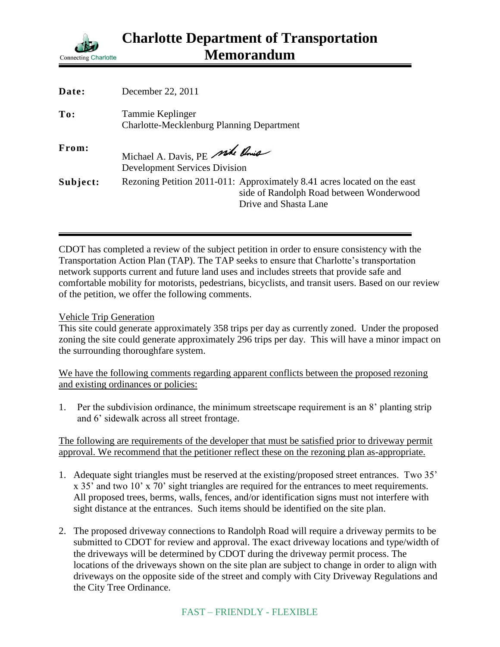

| Date:    | December 22, 2011                                                                                                                             |
|----------|-----------------------------------------------------------------------------------------------------------------------------------------------|
| To:      | Tammie Keplinger<br><b>Charlotte-Mecklenburg Planning Department</b>                                                                          |
| From:    | Michael A. Davis, PE side Rouse<br><b>Development Services Division</b>                                                                       |
| Subject: | Rezoning Petition 2011-011: Approximately 8.41 acres located on the east<br>side of Randolph Road between Wonderwood<br>Drive and Shasta Lane |

CDOT has completed a review of the subject petition in order to ensure consistency with the Transportation Action Plan (TAP). The TAP seeks to ensure that Charlotte's transportation network supports current and future land uses and includes streets that provide safe and comfortable mobility for motorists, pedestrians, bicyclists, and transit users. Based on our review of the petition, we offer the following comments.

## Vehicle Trip Generation

This site could generate approximately 358 trips per day as currently zoned. Under the proposed zoning the site could generate approximately 296 trips per day. This will have a minor impact on the surrounding thoroughfare system.

We have the following comments regarding apparent conflicts between the proposed rezoning and existing ordinances or policies:

1. Per the subdivision ordinance, the minimum streetscape requirement is an 8' planting strip and 6' sidewalk across all street frontage.

The following are requirements of the developer that must be satisfied prior to driveway permit approval. We recommend that the petitioner reflect these on the rezoning plan as-appropriate.

- 1. Adequate sight triangles must be reserved at the existing/proposed street entrances. Two 35' x 35' and two 10' x 70' sight triangles are required for the entrances to meet requirements. All proposed trees, berms, walls, fences, and/or identification signs must not interfere with sight distance at the entrances. Such items should be identified on the site plan.
- 2. The proposed driveway connections to Randolph Road will require a driveway permits to be submitted to CDOT for review and approval. The exact driveway locations and type/width of the driveways will be determined by CDOT during the driveway permit process. The locations of the driveways shown on the site plan are subject to change in order to align with driveways on the opposite side of the street and comply with City Driveway Regulations and the City Tree Ordinance.